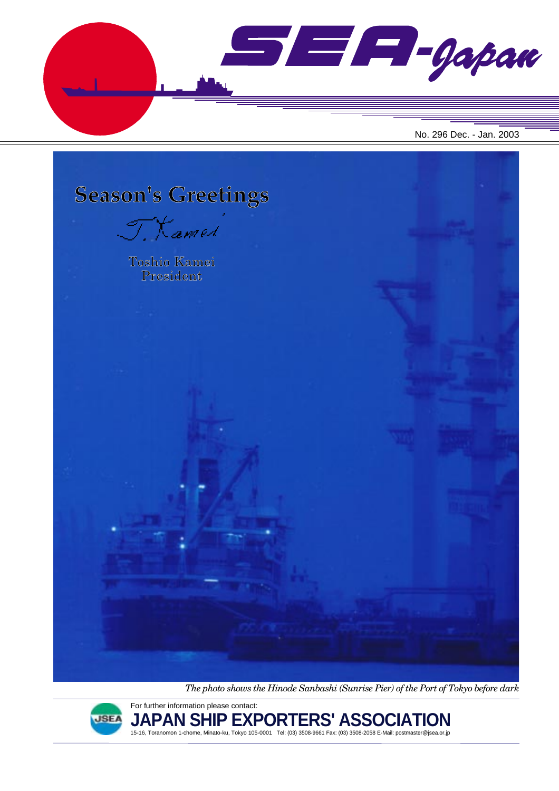



*The photo shows the Hinode Sanbashi (Sunrise Pier) of the Port of Tokyo before dark*



**JAPAN SHIP EXPORTERS' ASSOCIATION** 15-16, Toranomon 1-chome, Minato-ku, Tokyo 105-0001 Tel: (03) 3508-9661 Fax: (03) 3508-2058 E-Mail: postmaster@jsea.or.jp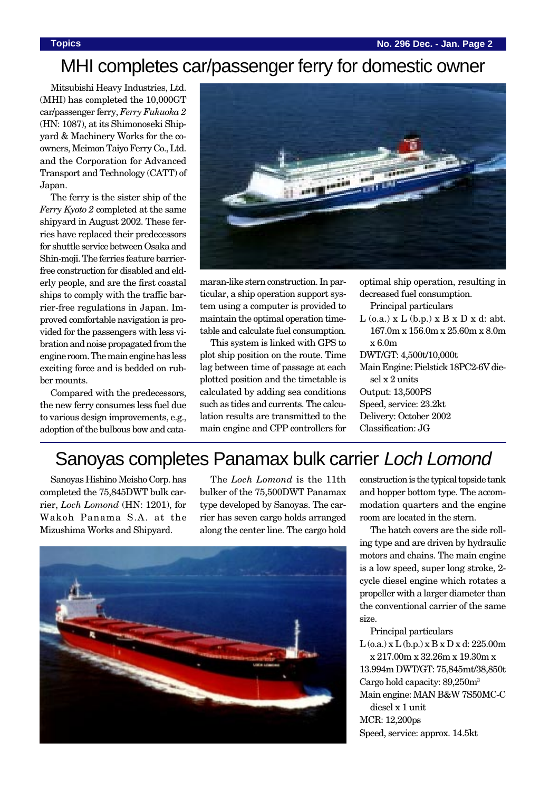# MHI completes car/passenger ferry for domestic owner

Mitsubishi Heavy Industries, Ltd. (MHI) has completed the 10,000GT car/passenger ferry, *Ferry Fukuoka 2* (HN: 1087), at its Shimonoseki Shipyard & Machinery Works for the coowners, Meimon Taiyo Ferry Co., Ltd. and the Corporation for Advanced Transport and Technology (CATT) of Japan.

The ferry is the sister ship of the *Ferry Kyoto 2* completed at the same shipyard in August 2002. These ferries have replaced their predecessors for shuttle service between Osaka and Shin-moji. The ferries feature barrierfree construction for disabled and elderly people, and are the first coastal ships to comply with the traffic barrier-free regulations in Japan. Improved comfortable navigation is provided for the passengers with less vibration and noise propagated from the engine room. The main engine has less exciting force and is bedded on rubber mounts.

Compared with the predecessors, the new ferry consumes less fuel due to various design improvements, e.g., adoption of the bulbous bow and cata-



maran-like stern construction. In particular, a ship operation support system using a computer is provided to maintain the optimal operation timetable and calculate fuel consumption.

This system is linked with GPS to plot ship position on the route. Time lag between time of passage at each plotted position and the timetable is calculated by adding sea conditions such as tides and currents. The calculation results are transmitted to the main engine and CPP controllers for optimal ship operation, resulting in decreased fuel consumption.

Principal particulars

 $L$  (o.a.) x  $L$  (b.p.) x  $B \times D \times d$ : abt. 167.0m x 156.0m x 25.60m x 8.0m x 6.0m

DWT/GT: 4,500t/10,000t Main Engine: Pielstick 18PC2-6V diesel x 2 units Output: 13,500PS Speed, service: 23.2kt Delivery: October 2002 Classification: JG

# Sanoyas completes Panamax bulk carrier Loch Lomond

Sanoyas Hishino Meisho Corp. has completed the 75,845DWT bulk carrier, *Loch Lomond* (HN: 1201), for Wakoh Panama S.A. at the Mizushima Works and Shipyard.

The *Loch Lomond* is the 11th bulker of the 75,500DWT Panamax type developed by Sanoyas. The carrier has seven cargo holds arranged along the center line. The cargo hold



construction is the typical topside tank and hopper bottom type. The accommodation quarters and the engine room are located in the stern.

The hatch covers are the side rolling type and are driven by hydraulic motors and chains. The main engine is a low speed, super long stroke, 2 cycle diesel engine which rotates a propeller with a larger diameter than the conventional carrier of the same size.

Principal particulars

 $L$  (o.a.) x  $L$  (b.p.) x  $B$  x  $D$  x d: 225.00m x 217.00m x 32.26m x 19.30m x 13.994m DWT/GT: 75,845mt/38,850t Cargo hold capacity: 89,250m3 Main engine: MAN B&W 7S50MC-C diesel x 1 unit

MCR: 12,200ps Speed, service: approx. 14.5kt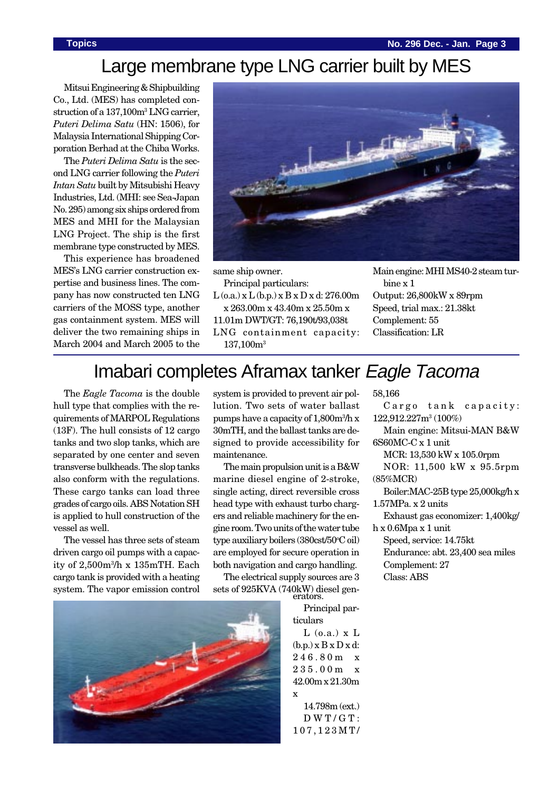### **Topics No. 296 Dec. - Jan. Page 3**

# Large membrane type LNG carrier built by MES

Mitsui Engineering & Shipbuilding Co., Ltd. (MES) has completed construction of a 137,100m<sup>3</sup> LNG carrier, *Puteri Delima Satu* (HN: 1506), for Malaysia International Shipping Corporation Berhad at the Chiba Works.

The *Puteri Delima Satu* is the second LNG carrier following the *Puteri Intan Satu* built by Mitsubishi Heavy Industries, Ltd. (MHI: see Sea-Japan No. 295) among six ships ordered from MES and MHI for the Malaysian LNG Project. The ship is the first membrane type constructed by MES.

This experience has broadened MES's LNG carrier construction expertise and business lines. The company has now constructed ten LNG carriers of the MOSS type, another gas containment system. MES will deliver the two remaining ships in March 2004 and March 2005 to the



same ship owner.

Principal particulars:

 $L$  (o.a.) x  $L$  (b.p.) x  $B \times D \times d$ : 276.00m x 263.00m x 43.40m x 25.50m x 11.01m DWT/GT: 76,190t/93,038t

LNG containment capacity: 137,100m3

Main engine: MHI MS40-2 steam turbine x 1 Output: 26,800kW x 89rpm Speed, trial max.: 21.38kt Complement: 55 Classification: LR

# Imabari completes Aframax tanker Eagle Tacoma

The *Eagle Tacoma* is the double hull type that complies with the requirements of MARPOL Regulations (13F). The hull consists of 12 cargo tanks and two slop tanks, which are separated by one center and seven transverse bulkheads. The slop tanks also conform with the regulations. These cargo tanks can load three grades of cargo oils. ABS Notation SH is applied to hull construction of the vessel as well.

The vessel has three sets of steam driven cargo oil pumps with a capacity of 2,500m3 /h x 135mTH. Each cargo tank is provided with a heating system. The vapor emission control

system is provided to prevent air pollution. Two sets of water ballast pumps have a capacity of 1,800m<sup>3</sup>/h x 30mTH, and the ballast tanks are designed to provide accessibility for maintenance.

The main propulsion unit is a B&W marine diesel engine of 2-stroke, single acting, direct reversible cross head type with exhaust turbo chargers and reliable machinery for the engine room. Two units of the water tube type auxiliary boilers (380cst/50°C oil) are employed for secure operation in both navigation and cargo handling.

The electrical supply sources are 3 sets of 925KVA (740kW) diesel generators.

> Principal particulars

 $L$  (o.a.)  $x L$  $(b.p.) x B x D x d$ : 246.80m x 235.00m x 42.00m x 21.30m x

14.798m (ext.) DWT/GT: 107,123MT/

58,166

Cargo tank capacity: 122,912.227m3 (100%) Main engine: Mitsui-MAN B&W

6S60MC-C x 1 unit

MCR: 13,530 kW x 105.0rpm

NOR: 11,500 kW x 95.5rpm (85%MCR)

Boiler:MAC-25B type 25,000kg/h x 1.57MPa. x 2 units

Exhaust gas economizer: 1,400kg/ h x 0.6Mpa x 1 unit

Speed, service: 14.75kt Endurance: abt. 23,400 sea miles Complement: 27 Class: ABS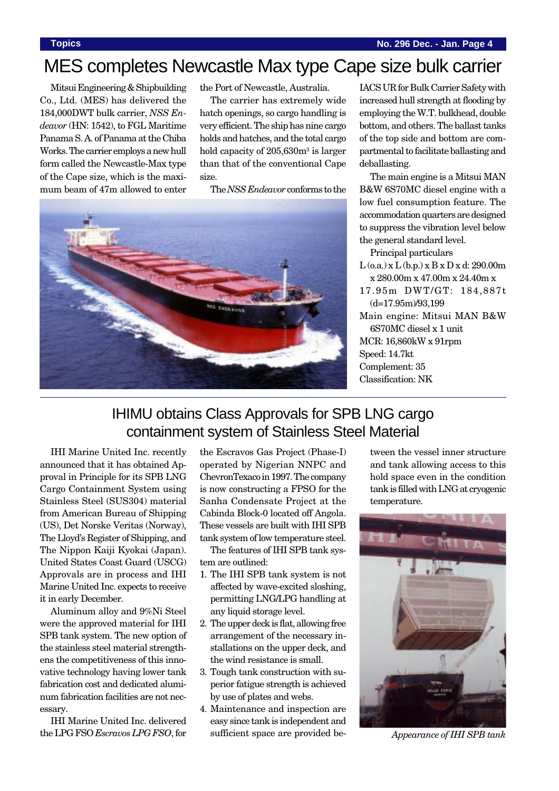# MES completes Newcastle Max type Cape size bulk carrier

Mitsui Engineering & Shipbuilding Co., Ltd. (MES) has delivered the 184,000DWT bulk carrier, *NSS Endeavor* (HN: 1542), to FGL Maritime Panama S. A. of Panama at the Chiba Works. The carrier employs a new hull form called the Newcastle-Max type of the Cape size, which is the maximum beam of 47m allowed to enter

the Port of Newcastle, Australia.

The carrier has extremely wide hatch openings, so cargo handling is very efficient. The ship has nine cargo holds and hatches, and the total cargo hold capacity of 205,630m<sup>3</sup> is larger than that of the conventional Cape size.

The *NSS Endeavor* conforms to the



IACS UR for Bulk Carrier Safety with increased hull strength at flooding by employing the W.T. bulkhead, double bottom, and others. The ballast tanks of the top side and bottom are compartmental to facilitate ballasting and deballasting.

The main engine is a Mitsui MAN B&W 6S70MC diesel engine with a low fuel consumption feature. The accommodation quarters are designed to suppress the vibration level below the general standard level.

Principal particulars  $L$  (o.a.) x  $L$  (b.p.) x  $B$  x  $D$  x d: 290.00m x 280.00m x 47.00m x 24.40m x 17.95m DWT/GT: 184,887t (d=17.95m)/93,199 Main engine: Mitsui MAN B&W 6S70MC diesel x 1 unit MCR: 16,860kW x 91rpm Speed: 14.7kt Complement: 35 Classification: NK

# IHIMU obtains Class Approvals for SPB LNG cargo containment system of Stainless Steel Material

IHI Marine United Inc. recently announced that it has obtained Approval in Principle for its SPB LNG Cargo Containment System using Stainless Steel (SUS304) material from American Bureau of Shipping (US), Det Norske Veritas (Norway), The Lloyd's Register of Shipping, and The Nippon Kaiji Kyokai (Japan). United States Coast Guard (USCG) Approvals are in process and IHI Marine United Inc. expects to receive it in early December.

Aluminum alloy and 9%Ni Steel were the approved material for IHI SPB tank system. The new option of the stainless steel material strengthens the competitiveness of this innovative technology having lower tank fabrication cost and dedicated aluminum fabrication facilities are not necessary.

IHI Marine United Inc. delivered the LPG FSO *Escravos LPG FSO*, for

the Escravos Gas Project (Phase-I) operated by Nigerian NNPC and ChevronTexaco in 1997. The company is now constructing a FPSO for the Sanha Condensate Project at the Cabinda Block-0 located off Angola. These vessels are built with IHI SPB tank system of low temperature steel.

The features of IHI SPB tank system are outlined:

- 1. The IHI SPB tank system is not affected by wave-excited sloshing, permitting LNG/LPG handling at any liquid storage level.
- 2. The upper deck is flat, allowing free arrangement of the necessary installations on the upper deck, and the wind resistance is small.
- 3. Tough tank construction with superior fatigue strength is achieved by use of plates and webs.
- 4. Maintenance and inspection are easy since tank is independent and sufficient space are provided be-

tween the vessel inner structure and tank allowing access to this hold space even in the condition tank is filled with LNG at cryogenic temperature.



*Appearance of IHI SPB tank*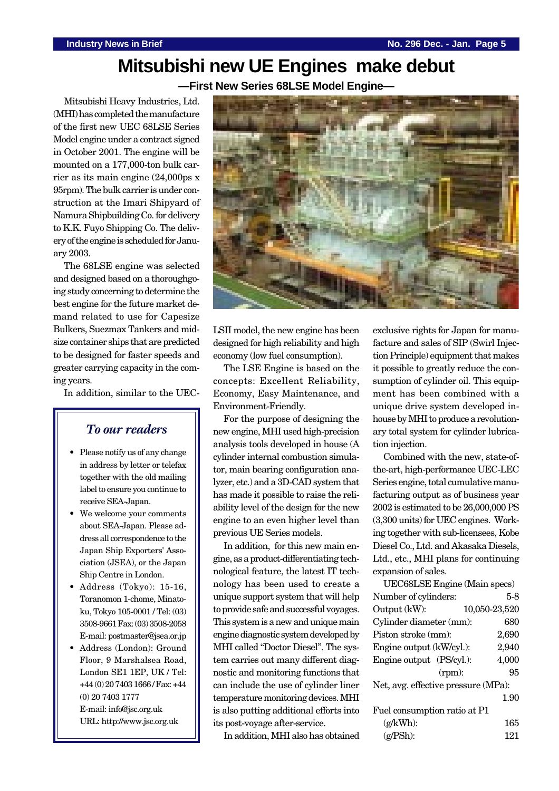# **Mitsubishi new UE Engines make debut**

**—First New Series 68LSE Model Engine—**

Mitsubishi Heavy Industries, Ltd. (MHI) has completed the manufacture of the first new UEC 68LSE Series Model engine under a contract signed in October 2001. The engine will be mounted on a 177,000-ton bulk carrier as its main engine (24,000ps x 95rpm). The bulk carrier is under construction at the Imari Shipyard of Namura Shipbuilding Co. for delivery to K.K. Fuyo Shipping Co. The delivery of the engine is scheduled for January 2003.

The 68LSE engine was selected and designed based on a thoroughgoing study concerning to determine the best engine for the future market demand related to use for Capesize Bulkers, Suezmax Tankers and midsize container ships that are predicted to be designed for faster speeds and greater carrying capacity in the coming years.

In addition, similar to the UEC-

### *To our readers*

- Please notify us of any change in address by letter or telefax together with the old mailing label to ensure you continue to receive SEA-Japan.
- We welcome your comments about SEA-Japan. Please address all correspondence to the Japan Ship Exporters' Association (JSEA), or the Japan Ship Centre in London.
- Address (Tokyo): 15-16, Toranomon 1-chome, Minatoku, Tokyo 105-0001 / Tel: (03) 3508-9661 Fax: (03) 3508-2058 E-mail: postmaster@jsea.or.jp
- Address (London): Ground Floor, 9 Marshalsea Road, London SE1 1EP, UK / Tel: +44 (0) 20 7403 1666 / Fax: +44 (0) 20 7403 1777 E-mail: info@jsc.org.uk URL: http://www.jsc.org.uk



LSII model, the new engine has been designed for high reliability and high economy (low fuel consumption).

The LSE Engine is based on the concepts: Excellent Reliability, Economy, Easy Maintenance, and Environment-Friendly.

For the purpose of designing the new engine, MHI used high-precision analysis tools developed in house (A cylinder internal combustion simulator, main bearing configuration analyzer, etc.) and a 3D-CAD system that has made it possible to raise the reliability level of the design for the new engine to an even higher level than previous UE Series models.

In addition, for this new main engine, as a product-differentiating technological feature, the latest IT technology has been used to create a unique support system that will help to provide safe and successful voyages. This system is a new and unique main engine diagnostic system developed by MHI called "Doctor Diesel". The system carries out many different diagnostic and monitoring functions that can include the use of cylinder liner temperature monitoring devices. MHI is also putting additional efforts into its post-voyage after-service.

In addition, MHI also has obtained

exclusive rights for Japan for manufacture and sales of SIP (Swirl Injection Principle) equipment that makes it possible to greatly reduce the consumption of cylinder oil. This equipment has been combined with a unique drive system developed inhouse by MHI to produce a revolutionary total system for cylinder lubrication injection.

Combined with the new, state-ofthe-art, high-performance UEC-LEC Series engine, total cumulative manufacturing output as of business year 2002 is estimated to be 26,000,000 PS (3,300 units) for UEC engines. Working together with sub-licensees, Kobe Diesel Co., Ltd. and Akasaka Diesels, Ltd., etc., MHI plans for continuing expansion of sales.

| UEC68LSE Engine (Main specs)               |               |       |
|--------------------------------------------|---------------|-------|
| Number of cylinders:                       |               | 5-8   |
| Output (kW):                               | 10,050-23,520 |       |
| Cylinder diameter (mm):                    |               | 680   |
| Piston stroke (mm):                        |               | 2,690 |
| Engine output (kW/cyl.):                   |               | 2,940 |
| Engine output (PS/cyl.):                   |               | 4,000 |
|                                            | (rpm):        | 95    |
| Net, avg. effective pressure (MPa):        |               |       |
|                                            |               | 1.90  |
| Fuel consumption ratio at P1               |               |       |
| $(g/kWh)$ :                                |               | 165   |
| $\left(\frac{\alpha}{\text{PSh}}\right)$ : |               | 121   |